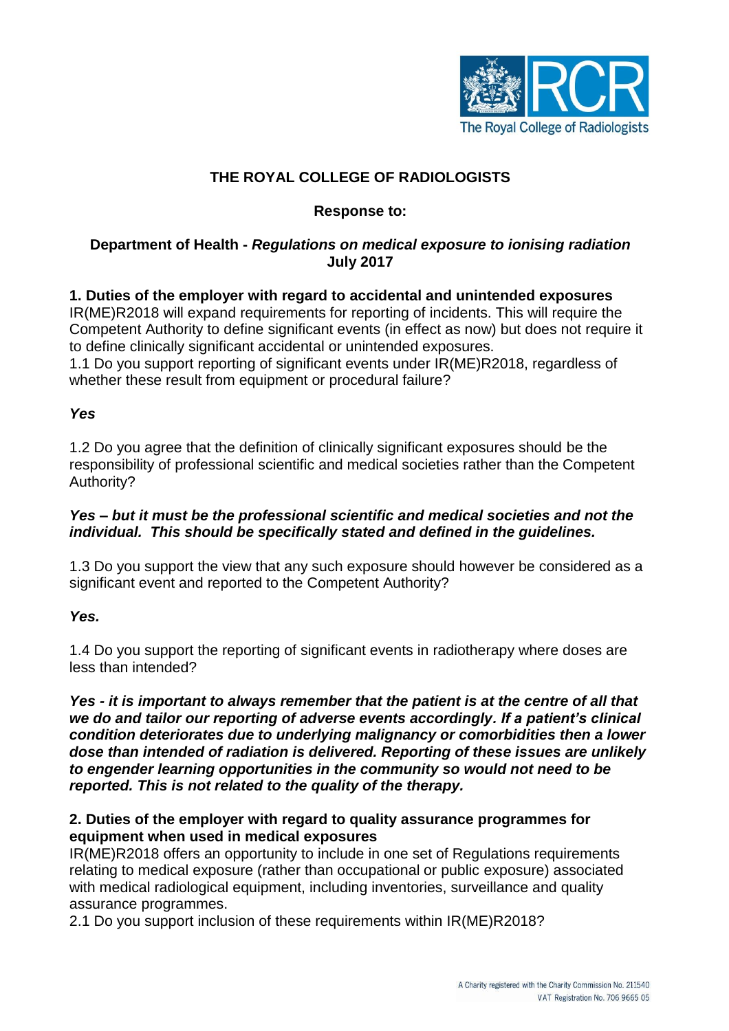

## **THE ROYAL COLLEGE OF RADIOLOGISTS**

## **Response to:**

## **Department of Health -** *Regulations on medical exposure to ionising radiation* **July 2017**

# **1. Duties of the employer with regard to accidental and unintended exposures**

IR(ME)R2018 will expand requirements for reporting of incidents. This will require the Competent Authority to define significant events (in effect as now) but does not require it to define clinically significant accidental or unintended exposures.

1.1 Do you support reporting of significant events under IR(ME)R2018, regardless of whether these result from equipment or procedural failure?

## *Yes*

1.2 Do you agree that the definition of clinically significant exposures should be the responsibility of professional scientific and medical societies rather than the Competent Authority?

### *Yes – but it must be the professional scientific and medical societies and not the individual. This should be specifically stated and defined in the guidelines.*

1.3 Do you support the view that any such exposure should however be considered as a significant event and reported to the Competent Authority?

*Yes.*

1.4 Do you support the reporting of significant events in radiotherapy where doses are less than intended?

*Yes - it is important to always remember that the patient is at the centre of all that we do and tailor our reporting of adverse events accordingly. If a patient's clinical condition deteriorates due to underlying malignancy or comorbidities then a lower dose than intended of radiation is delivered. Reporting of these issues are unlikely to engender learning opportunities in the community so would not need to be reported. This is not related to the quality of the therapy.*

### **2. Duties of the employer with regard to quality assurance programmes for equipment when used in medical exposures**

IR(ME)R2018 offers an opportunity to include in one set of Regulations requirements relating to medical exposure (rather than occupational or public exposure) associated with medical radiological equipment, including inventories, surveillance and quality assurance programmes.

2.1 Do you support inclusion of these requirements within IR(ME)R2018?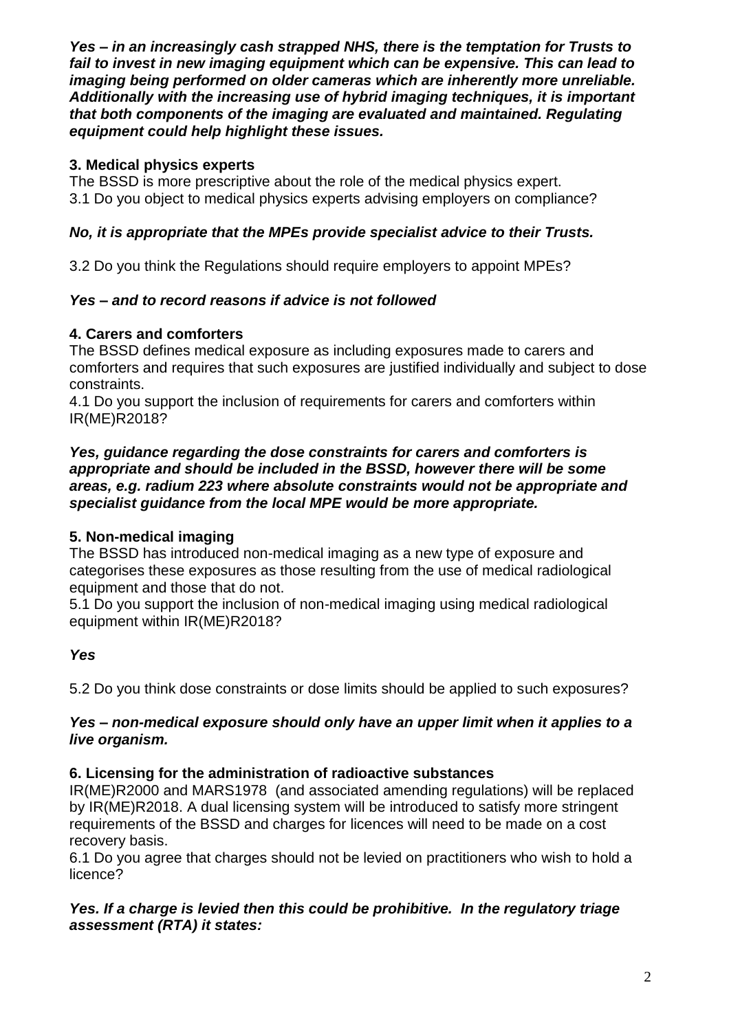*Yes – in an increasingly cash strapped NHS, there is the temptation for Trusts to fail to invest in new imaging equipment which can be expensive. This can lead to imaging being performed on older cameras which are inherently more unreliable. Additionally with the increasing use of hybrid imaging techniques, it is important that both components of the imaging are evaluated and maintained. Regulating equipment could help highlight these issues.*

# **3. Medical physics experts**

The BSSD is more prescriptive about the role of the medical physics expert. 3.1 Do you object to medical physics experts advising employers on compliance?

# *No, it is appropriate that the MPEs provide specialist advice to their Trusts.*

3.2 Do you think the Regulations should require employers to appoint MPEs?

# *Yes – and to record reasons if advice is not followed*

# **4. Carers and comforters**

The BSSD defines medical exposure as including exposures made to carers and comforters and requires that such exposures are justified individually and subject to dose constraints.

4.1 Do you support the inclusion of requirements for carers and comforters within IR(ME)R2018?

### *Yes, guidance regarding the dose constraints for carers and comforters is appropriate and should be included in the BSSD, however there will be some areas, e.g. radium 223 where absolute constraints would not be appropriate and specialist guidance from the local MPE would be more appropriate.*

# **5. Non-medical imaging**

The BSSD has introduced non-medical imaging as a new type of exposure and categorises these exposures as those resulting from the use of medical radiological equipment and those that do not.

5.1 Do you support the inclusion of non-medical imaging using medical radiological equipment within IR(ME)R2018?

## *Yes*

5.2 Do you think dose constraints or dose limits should be applied to such exposures?

## *Yes – non-medical exposure should only have an upper limit when it applies to a live organism.*

## **6. Licensing for the administration of radioactive substances**

IR(ME)R2000 and MARS1978 (and associated amending regulations) will be replaced by IR(ME)R2018. A dual licensing system will be introduced to satisfy more stringent requirements of the BSSD and charges for licences will need to be made on a cost recovery basis.

6.1 Do you agree that charges should not be levied on practitioners who wish to hold a licence?

## *Yes. If a charge is levied then this could be prohibitive. In the regulatory triage assessment (RTA) it states:*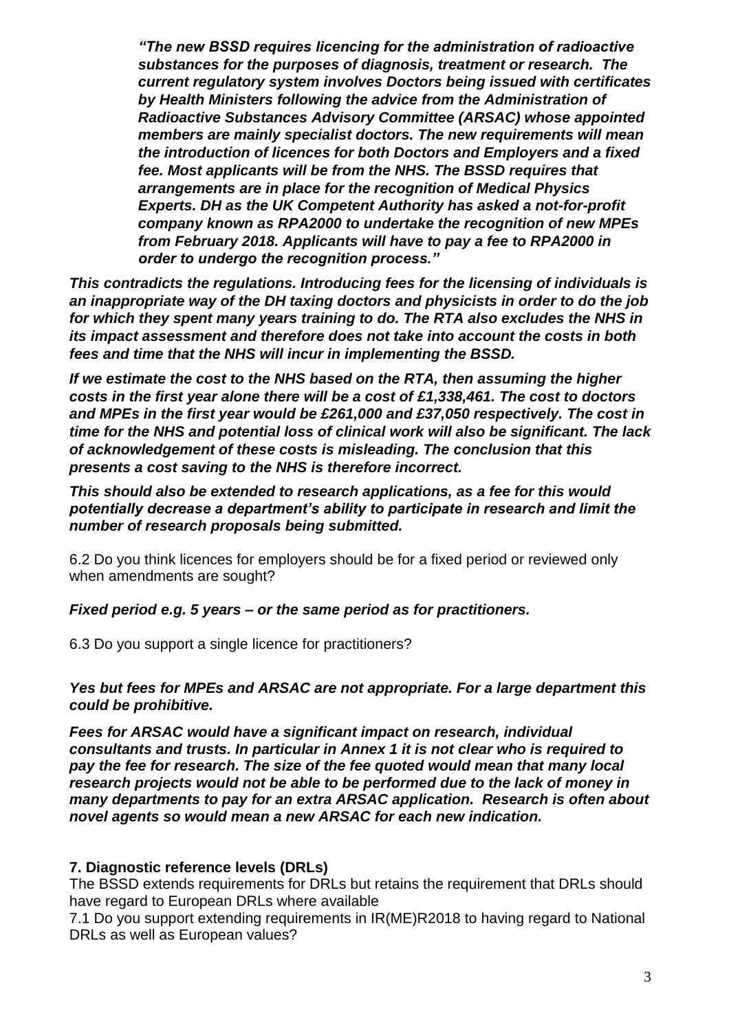*"The new BSSD requires licencing for the administration of radioactive substances for the purposes of diagnosis, treatment or research. The current regulatory system involves Doctors being issued with certificates by Health Ministers following the advice from the Administration of Radioactive Substances Advisory Committee (ARSAC) whose appointed members are mainly specialist doctors. The new requirements will mean the introduction of licences for both Doctors and Employers and a fixed fee. Most applicants will be from the NHS. The BSSD requires that arrangements are in place for the recognition of Medical Physics Experts. DH as the UK Competent Authority has asked a not-for-profit company known as RPA2000 to undertake the recognition of new MPEs from February 2018. Applicants will have to pay a fee to RPA2000 in order to undergo the recognition process."*

*This contradicts the regulations. Introducing fees for the licensing of individuals is an inappropriate way of the DH taxing doctors and physicists in order to do the job for which they spent many years training to do. The RTA also excludes the NHS in its impact assessment and therefore does not take into account the costs in both fees and time that the NHS will incur in implementing the BSSD.*

*If we estimate the cost to the NHS based on the RTA, then assuming the higher costs in the first year alone there will be a cost of £1,338,461. The cost to doctors and MPEs in the first year would be £261,000 and £37,050 respectively. The cost in time for the NHS and potential loss of clinical work will also be significant. The lack of acknowledgement of these costs is misleading. The conclusion that this presents a cost saving to the NHS is therefore incorrect.* 

*This should also be extended to research applications, as a fee for this would potentially decrease a department's ability to participate in research and limit the number of research proposals being submitted.*

6.2 Do you think licences for employers should be for a fixed period or reviewed only when amendments are sought?

### *Fixed period e.g. 5 years – or the same period as for practitioners.*

6.3 Do you support a single licence for practitioners?

## *Yes but fees for MPEs and ARSAC are not appropriate. For a large department this could be prohibitive.*

*Fees for ARSAC would have a significant impact on research, individual consultants and trusts. In particular in Annex 1 it is not clear who is required to pay the fee for research. The size of the fee quoted would mean that many local research projects would not be able to be performed due to the lack of money in many departments to pay for an extra ARSAC application. Research is often about novel agents so would mean a new ARSAC for each new indication.*

## **7. Diagnostic reference levels (DRLs)**

The BSSD extends requirements for DRLs but retains the requirement that DRLs should have regard to European DRLs where available

7.1 Do you support extending requirements in IR(ME)R2018 to having regard to National DRLs as well as European values?